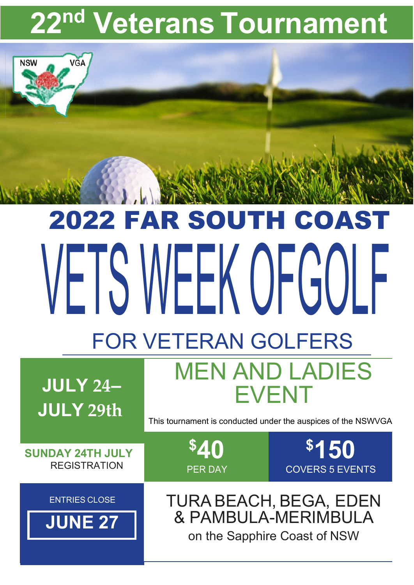## **22nd Veterans Tournament**

## 2022 FAR SOUTH COAST VETS WEEK OFGOLF FOR VETERAN GOLFERS

**\$40**

PER DAY

**JULY 24– JULY 29th**

**VGA** 

**NSW** 

This tournament is conducted under the auspices of the NSWVGA

MEN AND LADIES

EVENT

**\$150**

COVERS 5 EVENTS

**SUNDAY 24TH JULY REGISTRATION** 

**ENTRIES CLOSE** 

**JUNE 27**

TURA BEACH, BEGA, EDEN & PAMBULA-MERIMBULA on the Sapphire Coast of NSW